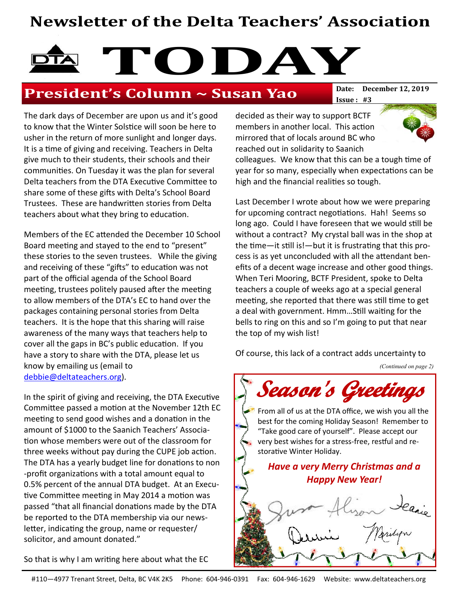### Newsletter of the Delta Teachers' Association

# TODAY<sup>Date:</sup> December 12, 2019

### President's Column ~ Susan Yao

Issue : #3

The dark days of December are upon us and it's good to know that the Winter Solstice will soon be here to usher in the return of more sunlight and longer days. It is a time of giving and receiving. Teachers in Delta give much to their students, their schools and their communities. On Tuesday it was the plan for several Delta teachers from the DTA Executive Committee to share some of these gifts with Delta's School Board Trustees. These are handwritten stories from Delta teachers about what they bring to education.

Members of the EC attended the December 10 School Board meeting and stayed to the end to "present" these stories to the seven trustees. While the giving and receiving of these "gifts" to education was not part of the official agenda of the School Board meeting, trustees politely paused after the meeting to allow members of the DTA's EC to hand over the packages containing personal stories from Delta teachers. It is the hope that this sharing will raise awareness of the many ways that teachers help to cover all the gaps in BC's public education. If you have a story to share with the DTA, please let us know by emailing us (email to debbie@deltateachers.org).

In the spirit of giving and receiving, the DTA Executive Committee passed a motion at the November 12th EC meeting to send good wishes and a donation in the amount of \$1000 to the Saanich Teachers' Association whose members were out of the classroom for three weeks without pay during the CUPE job action. The DTA has a yearly budget line for donations to non -profit organizations with a total amount equal to 0.5% percent of the annual DTA budget. At an Executive Committee meeting in May 2014 a motion was passed "that all financial donations made by the DTA be reported to the DTA membership via our newsletter, indicating the group, name or requester/ solicitor, and amount donated."

So that is why I am writing here about what the EC

decided as their way to support BCTF members in another local. This action mirrored that of locals around BC who reached out in solidarity to Saanich



colleagues. We know that this can be a tough time of year for so many, especially when expectations can be high and the financial realities so tough.

Last December I wrote about how we were preparing for upcoming contract negotiations. Hah! Seems so long ago. Could I have foreseen that we would still be without a contract? My crystal ball was in the shop at the time—it still is!—but it is frustrating that this process is as yet unconcluded with all the attendant benefits of a decent wage increase and other good things. When Teri Mooring, BCTF President, spoke to Delta teachers a couple of weeks ago at a special general meeting, she reported that there was still time to get a deal with government. Hmm…Still waiting for the bells to ring on this and so I'm going to put that near the top of my wish list!

Of course, this lack of a contract adds uncertainty to

(Continued on page 2)



From all of us at the DTA office, we wish you all the best for the coming Holiday Season! Remember to "Take good care of yourself". Please accept our very best wishes for a stress-free, restful and restorative Winter Holiday.

Have a very Merry Christmas and a Happy New Year!

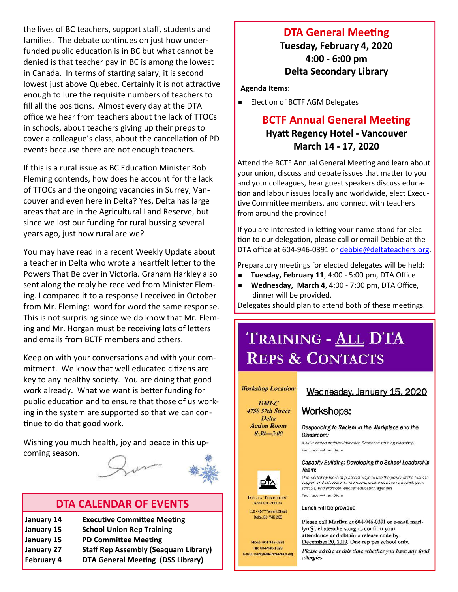the lives of BC teachers, support staff, students and families. The debate continues on just how underfunded public education is in BC but what cannot be denied is that teacher pay in BC is among the lowest in Canada. In terms of starting salary, it is second lowest just above Quebec. Certainly it is not attractive enough to lure the requisite numbers of teachers to fill all the positions. Almost every day at the DTA office we hear from teachers about the lack of TTOCs in schools, about teachers giving up their preps to cover a colleague's class, about the cancellation of PD events because there are not enough teachers.

If this is a rural issue as BC Education Minister Rob Fleming contends, how does he account for the lack of TTOCs and the ongoing vacancies in Surrey, Vancouver and even here in Delta? Yes, Delta has large areas that are in the Agricultural Land Reserve, but since we lost our funding for rural bussing several years ago, just how rural are we?

You may have read in a recent Weekly Update about a teacher in Delta who wrote a heartfelt letter to the Powers That Be over in Victoria. Graham Harkley also sent along the reply he received from Minister Fleming. I compared it to a response I received in October from Mr. Fleming: word for word the same response. This is not surprising since we do know that Mr. Fleming and Mr. Horgan must be receiving lots of letters and emails from BCTF members and others.

Keep on with your conversations and with your commitment. We know that well educated citizens are key to any healthy society. You are doing that good work already. What we want is better funding for public education and to ensure that those of us working in the system are supported so that we can continue to do that good work.

Wishing you much health, joy and peace in this upcoming season.

### DTA CALENDAR OF EVENTS

January 14 Executive Committee Meeting January 15 School Union Rep Training January 15 PD Committee Meeting January 27 Staff Rep Assembly (Seaquam Library) February 4 DTA General Meeting (DSS Library)

### DTA General Meeting

Tuesday, February 4, 2020 4:00 - 6:00 pm Delta Secondary Library

Agenda Items:

■ Election of BCTF AGM Delegates

### BCTF Annual General Meeting Hyatt Regency Hotel - Vancouver March 14 - 17, 2020

Attend the BCTF Annual General Meeting and learn about your union, discuss and debate issues that matter to you and your colleagues, hear guest speakers discuss education and labour issues locally and worldwide, elect Executive Committee members, and connect with teachers from around the province!

If you are interested in letting your name stand for election to our delegation, please call or email Debbie at the DTA office at 604-946-0391 or debbie@deltateachers.org.

Preparatory meetings for elected delegates will be held:

- Tuesday, February 11, 4:00 5:00 pm, DTA Office
- Wednesday, March 4, 4:00 7:00 pm, DTA Office, dinner will be provided.

Delegates should plan to attend both of these meetings.

## TRAINING - ALL DTA **REPS & CONTACTS**

#### **Workshop Location:**

**DMEC 4750 57th Street Delta Action Room**  $8:30 - 3:00$ 

#### Wednesday, January 15, 2020

Workshops:

Responding to Racism in the Workplace and the Classroom:

A skills-based Antidiscrimination Response training workshop Facilitator-Kiran Sidhu

#### Capacity Building: Developing the School Leadership Team:

This workshop looks at practical ways to use the power of the team to support and advocate for members, create positive relationships in schools, and promote teacher education agendas Facilitator-Kiran Sidhu

Lunch will be provided

**ASSOCIATION** 110 - 4977 Trenant Street Delta, BC V4K 2K5

Phone: 604-946-0391 Fax: 604-946-1629 E-mail: marilyn@deltateachers.org Please call Marilyn at 604-946-0391 or e-mail marilyn@deltateachers.org to confirm your attendance and obtain a release code by December 20, 2019. One rep per school only.

Please advise at this time whether you have any food allergies.



**DELTA TEACHERS**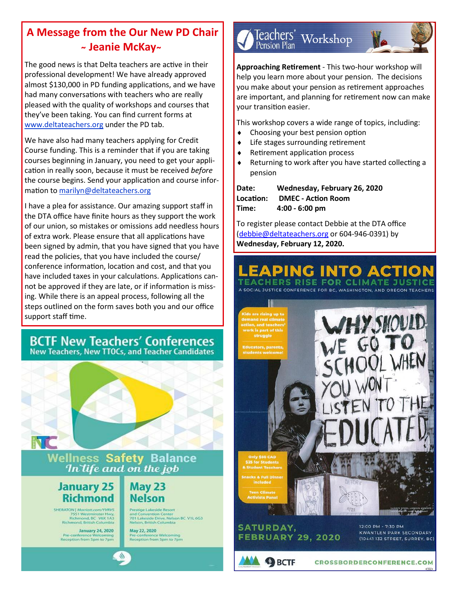### A Message from the Our New PD Chair ~ Jeanie McKay~

The good news is that Delta teachers are active in their professional development! We have already approved almost \$130,000 in PD funding applications, and we have had many conversations with teachers who are really pleased with the quality of workshops and courses that they've been taking. You can find current forms at www.deltateachers.org under the PD tab.

We have also had many teachers applying for Credit Course funding. This is a reminder that if you are taking courses beginning in January, you need to get your application in really soon, because it must be received before the course begins. Send your application and course information to marilyn@deltateachers.org

I have a plea for assistance. Our amazing support staff in the DTA office have finite hours as they support the work of our union, so mistakes or omissions add needless hours of extra work. Please ensure that all applications have been signed by admin, that you have signed that you have read the policies, that you have included the course/ conference information, location and cost, and that you have included taxes in your calculations. Applications cannot be approved if they are late, or if information is missing. While there is an appeal process, following all the steps outlined on the form saves both you and our office support staff time.

# **BCTF New Teachers' Conferences**<br>New Teachers, New TTOCs, and Teacher Candidates





Teachers' Workshop<br><sub>Pension Plan</sub>



Approaching Retirement - This two-hour workshop will help you learn more about your pension. The decisions you make about your pension as retirement approaches are important, and planning for retirement now can make your transition easier.

This workshop covers a wide range of topics, including:

- $\bullet$  Choosing your best pension option
- $\bullet$  Life stages surrounding retirement
- Retirement application process
- Returning to work after you have started collecting a pension

| Date:     | Wednesday, February 26, 2020 |
|-----------|------------------------------|
| Location: | <b>DMEC - Action Room</b>    |
| Time:     | $4:00 - 6:00$ pm             |

To register please contact Debbie at the DTA office (debbie@deltateachers.org or 604-946-0391) by Wednesday, February 12, 2020.